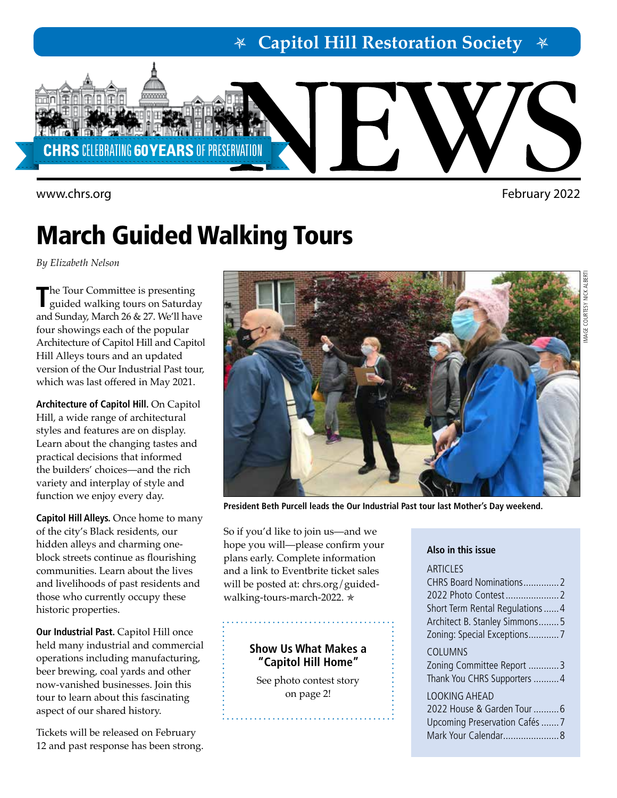**Capitol Hill Restoration Society**



<www.chrs.org> February 2022

IMAGE COURTESY NICK ALBERTI

*AAGE COURTESY NICK AL* 

# March Guided Walking Tours

*By Elizabeth Nelson*

**T**he Tour Committee is presenting guided walking tours on Saturday and Sunday, March 26 & 27. We'll have four showings each of the popular Architecture of Capitol Hill and Capitol Hill Alleys tours and an updated version of the Our Industrial Past tour, which was last offered in May 2021.

**Architecture of Capitol Hill.** On Capitol Hill, a wide range of architectural styles and features are on display. Learn about the changing tastes and practical decisions that informed the builders' choices—and the rich variety and interplay of style and function we enjoy every day.

**Capitol Hill Alleys.** Once home to many of the city's Black residents, our hidden alleys and charming oneblock streets continue as flourishing communities. Learn about the lives and livelihoods of past residents and those who currently occupy these historic properties.

**Our Industrial Past.** Capitol Hill once held many industrial and commercial operations including manufacturing, beer brewing, coal yards and other now-vanished businesses. Join this tour to learn about this fascinating aspect of our shared history.

Tickets will be released on February 12 and past response has been strong.



**President Beth Purcell leads the Our Industrial Past tour last Mother's Day weekend.**

So if you'd like to join us—and we hope you will—please confirm your plans early. Complete information and a link to Eventbrite ticket sales will be posted at: [chrs.org/guided](http://chrs.org/guided-walking-tours-march-2022)[walking-tours-march-2022.](http://chrs.org/guided-walking-tours-march-2022) \*

### **Show Us What Makes a "Capitol Hill Home"**

. . . . . . . . . . . . . . . . . .

See photo contest story on page 2!

#### **Also in this issue**

#### **ARTICLES**

CHRS Board Nominations..............2 2022 Photo Contest.....................2 Short Term Rental Regulations......4 Architect B. Stanley Simmons........5 Zoning: Special Exceptions............7

COLUMNS

Zoning Committee Report ............3 Thank You CHRS Supporters ..........4 LOOKING AHEAD 2022 House & Garden Tour ..........6

Upcoming Preservation Cafés.......7 Mark Your Calendar......................8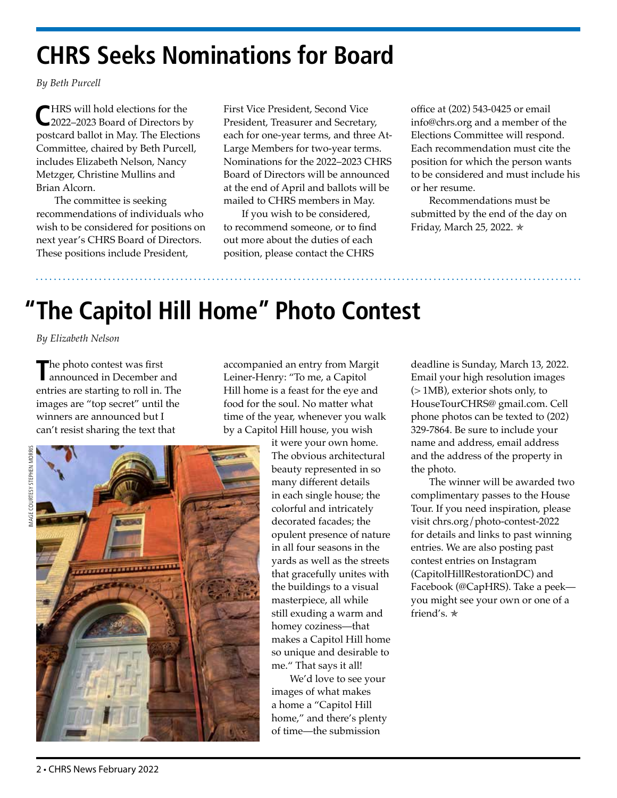# **CHRS Seeks Nominations for Board**

*By Beth Purcell* 

**C**HRS will hold elections for the 2022–2023 Board of Directors by postcard ballot in May. The Elections Committee, chaired by Beth Purcell, includes Elizabeth Nelson, Nancy Metzger, Christine Mullins and Brian Alcorn.

The committee is seeking recommendations of individuals who wish to be considered for positions on next year's CHRS Board of Directors. These positions include President,

First Vice President, Second Vice President, Treasurer and Secretary, each for one-year terms, and three At-Large Members for two-year terms. Nominations for the 2022–2023 CHRS Board of Directors will be announced at the end of April and ballots will be mailed to CHRS members in May.

If you wish to be considered, to recommend someone, or to find out more about the duties of each position, please contact the CHRS

office at (202) 543-0425 or email info@chrs.org and a member of the Elections Committee will respond. Each recommendation must cite the position for which the person wants to be considered and must include his or her resume.

Recommendations must be submitted by the end of the day on Friday, March 25, 2022. \*

# **"The Capitol Hill Home" Photo Contest**

*By Elizabeth Nelson*

The photo contest was first<br> **The photo** contest was first<br>
announced in December and entries are starting to roll in. The images are "top secret" until the winners are announced but I can't resist sharing the text that

accompanied an entry from Margit Leiner-Henry: "To me, a Capitol Hill home is a feast for the eye and food for the soul. No matter what time of the year, whenever you walk by a Capitol Hill house, you wish



it were your own home. The obvious architectural beauty represented in so many different details in each single house; the colorful and intricately decorated facades; the opulent presence of nature in all four seasons in the yards as well as the streets that gracefully unites with the buildings to a visual masterpiece, all while still exuding a warm and homey coziness—that makes a Capitol Hill home so unique and desirable to me." That says it all!

We'd love to see your images of what makes a home a "Capitol Hill home," and there's plenty of time—the submission

deadline is Sunday, March 13, 2022. Email your high resolution images (> 1MB), exterior shots only, to HouseTourCHRS@ gmail.com. Cell phone photos can be texted to (202) 329-7864. Be sure to include your name and address, email address and the address of the property in the photo.

The winner will be awarded two complimentary passes to the House Tour. If you need inspiration, please visit [chrs.org/photo-contest-2022](http://chrs.org/photo-contest-2022) for details and links to past winning entries. We are also posting past contest entries on Instagram [\(CapitolHillRestorationDC\)](https://instagram.com/CapitolHillRestorationDC) and Facebook ([@Cap](https://www.facebook.com/CapHRS)HRS). Take a peek you might see your own or one of a friend's.  $\star$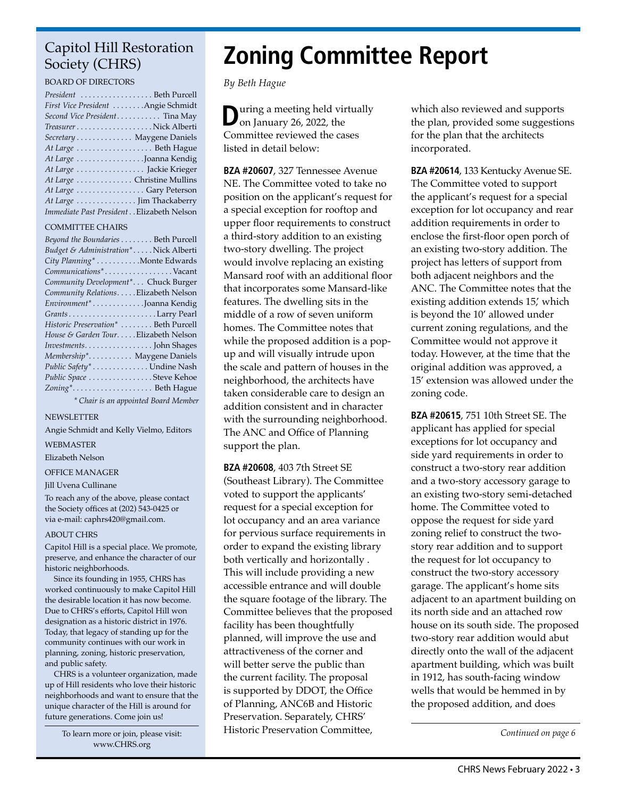### Capitol Hill Restoration Society (CHRS)

#### BOARD OF DIRECTORS

| President  Beth Purcell                   |
|-------------------------------------------|
| First Vice President Angie Schmidt        |
| Second Vice President Tina May            |
|                                           |
| Secretary Maygene Daniels                 |
| At Large Beth Hague                       |
| At Large Joanna Kendig                    |
| At Large  Jackie Krieger                  |
| At Large  Christine Mullins               |
| At Large Gary Peterson                    |
| At Large  Jim Thackaberry                 |
| Immediate Past President Elizabeth Nelson |

#### COMMITTEE CHAIRS

| Beyond the Boundaries Beth Purcell    |
|---------------------------------------|
| Budget & Administration*Nick Alberti  |
| City Planning* Monte Edwards          |
| Communications*Vacant                 |
| Community Development* Chuck Burger   |
| Community Relations. Elizabeth Nelson |
| Environment*Joanna Kendig             |
|                                       |
| Historic Preservation*  Beth Purcell  |
| House & Garden TourElizabeth Nelson   |
|                                       |
| Membership* Maygene Daniels           |
| Public Safety* Undine Nash            |
| Public Space Steve Kehoe              |
| Zoning* Beth Hague                    |
| * Chair is an appointed Board Member  |

NEWSLETTER

Angie Schmidt and Kelly Vielmo, Editors

WEBMASTER

Elizabeth Nelson

OFFICE MANAGER

#### Jill Uvena Cullinane

To reach any of the above, please contact the Society offices at (202) 543-0425 or via e-mail: caphrs420@gmail.com.

#### ABOUT CHRS

Capitol Hill is a special place. We promote, preserve, and enhance the character of our historic neighborhoods.

Since its founding in 1955, CHRS has worked continuously to make Capitol Hill the desirable location it has now become. Due to CHRS's efforts, Capitol Hill won designation as a historic district in 1976. Today, that legacy of standing up for the community continues with our work in planning, zoning, historic preservation, and public safety.

CHRS is a volunteer organization, made up of Hill residents who love their historic neighborhoods and want to ensure that the unique character of the Hill is around for future generations. Come join us!

> To learn more or join, please visit: [www.CHRS.org](http://chrs.org/)

# **Zoning Committee Report**

*By Beth Hague*

**D**uring a meeting held virtually on January 26, 2022, the Committee reviewed the cases listed in detail below:

**BZA #20607**, 327 Tennessee Avenue NE. The Committee voted to take no position on the applicant's request for a special exception for rooftop and upper floor requirements to construct a third-story addition to an existing two-story dwelling. The project would involve replacing an existing Mansard roof with an additional floor that incorporates some Mansard-like features. The dwelling sits in the middle of a row of seven uniform homes. The Committee notes that while the proposed addition is a popup and will visually intrude upon the scale and pattern of houses in the neighborhood, the architects have taken considerable care to design an addition consistent and in character with the surrounding neighborhood. The ANC and Office of Planning support the plan.

**BZA #20608**, 403 7th Street SE (Southeast Library). The Committee voted to support the applicants' request for a special exception for lot occupancy and an area variance for pervious surface requirements in order to expand the existing library both vertically and horizontally . This will include providing a new accessible entrance and will double the square footage of the library. The Committee believes that the proposed facility has been thoughtfully planned, will improve the use and attractiveness of the corner and will better serve the public than the current facility. The proposal is supported by DDOT, the Office of Planning, ANC6B and Historic Preservation. Separately, CHRS' Historic Preservation Committee,

which also reviewed and supports the plan, provided some suggestions for the plan that the architects incorporated.

**BZA #20614**, 133 Kentucky Avenue SE. The Committee voted to support the applicant's request for a special exception for lot occupancy and rear addition requirements in order to enclose the first-floor open porch of an existing two-story addition. The project has letters of support from both adjacent neighbors and the ANC. The Committee notes that the existing addition extends 15, which is beyond the 10' allowed under current zoning regulations, and the Committee would not approve it today. However, at the time that the original addition was approved, a 15' extension was allowed under the zoning code.

**BZA #20615**, 751 10th Street SE. The applicant has applied for special exceptions for lot occupancy and side yard requirements in order to construct a two-story rear addition and a two-story accessory garage to an existing two-story semi-detached home. The Committee voted to oppose the request for side yard zoning relief to construct the twostory rear addition and to support the request for lot occupancy to construct the two-story accessory garage. The applicant's home sits adjacent to an apartment building on its north side and an attached row house on its south side. The proposed two-story rear addition would abut directly onto the wall of the adjacent apartment building, which was built in 1912, has south-facing window wells that would be hemmed in by the proposed addition, and does

*Continued on page 6*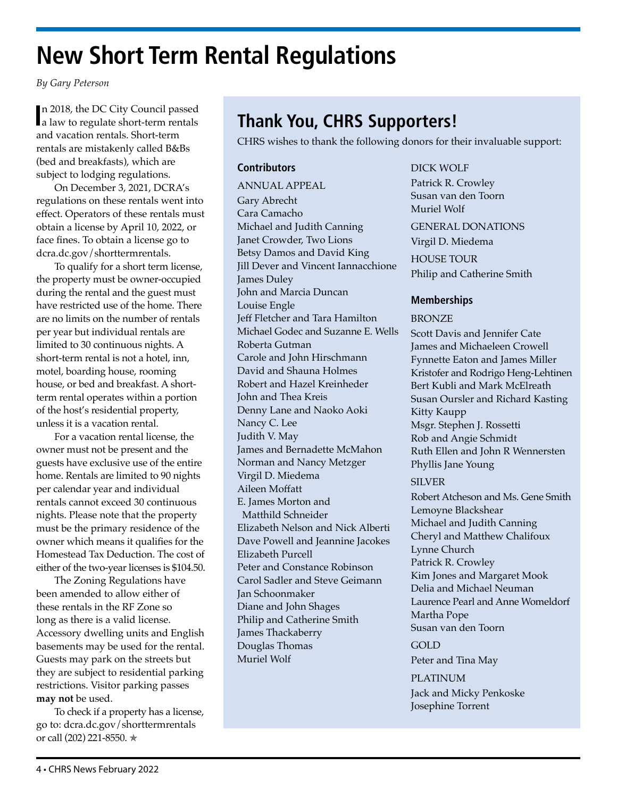# **New Short Term Rental Regulations**

*By Gary Peterson*

In 2018, the DC City Council passed<br> **a** law to regulate short-term rentals n 2018, the DC City Council passed and vacation rentals. Short-term rentals are mistakenly called B&Bs (bed and breakfasts), which are subject to lodging regulations.

On December 3, 2021, DCRA's regulations on these rentals went into effect. Operators of these rentals must obtain a license by April 10, 2022, or face fines. To obtain a license go to [dcra.dc.gov/shorttermrentals](http://dcra.dc.gov/shorttermrentals).

To qualify for a short term license, the property must be owner-occupied during the rental and the guest must have restricted use of the home. There are no limits on the number of rentals per year but individual rentals are limited to 30 continuous nights. A short-term rental is not a hotel, inn, motel, boarding house, rooming house, or bed and breakfast. A shortterm rental operates within a portion of the host's residential property, unless it is a vacation rental.

For a vacation rental license, the owner must not be present and the guests have exclusive use of the entire home. Rentals are limited to 90 nights per calendar year and individual rentals cannot exceed 30 continuous nights. Please note that the property must be the primary residence of the owner which means it qualifies for the Homestead Tax Deduction. The cost of either of the two-year licenses is \$104.50.

The Zoning Regulations have been amended to allow either of these rentals in the RF Zone so long as there is a valid license. Accessory dwelling units and English basements may be used for the rental. Guests may park on the streets but they are subject to residential parking restrictions. Visitor parking passes **may not** be used.

To check if a property has a license, go to: [dcra.dc.gov/shorttermrentals](http://dcra.dc.gov/shorttermrentals) or call (202) 221-8550. ✯

## **Thank You, CHRS Supporters!**

CHRS wishes to thank the following donors for their invaluable support:

#### **Contributors**

ANNUAL APPEAL Gary Abrecht Cara Camacho Michael and Judith Canning Janet Crowder, Two Lions Betsy Damos and David King Jill Dever and Vincent Iannacchione James Duley John and Marcia Duncan Louise Engle Jeff Fletcher and Tara Hamilton Michael Godec and Suzanne E. Wells Roberta Gutman Carole and John Hirschmann David and Shauna Holmes Robert and Hazel Kreinheder John and Thea Kreis Denny Lane and Naoko Aoki Nancy C. Lee Judith V. May James and Bernadette McMahon Norman and Nancy Metzger Virgil D. Miedema Aileen Moffatt E. James Morton and Matthild Schneider Elizabeth Nelson and Nick Alberti Dave Powell and Jeannine Jacokes Elizabeth Purcell Peter and Constance Robinson Carol Sadler and Steve Geimann Jan Schoonmaker Diane and John Shages Philip and Catherine Smith James Thackaberry Douglas Thomas Muriel Wolf

#### DICK WOLF

Patrick R. Crowley Susan van den Toorn Muriel Wolf

GENERAL DONATIONS Virgil D. Miedema HOUSE TOUR Philip and Catherine Smith

### **Memberships**

#### BRONZE

Scott Davis and Jennifer Cate James and Michaeleen Crowell Fynnette Eaton and James Miller Kristofer and Rodrigo Heng-Lehtinen Bert Kubli and Mark McElreath Susan Oursler and Richard Kasting Kitty Kaupp Msgr. Stephen J. Rossetti Rob and Angie Schmidt Ruth Ellen and John R Wennersten Phyllis Jane Young

#### SILVER

Robert Atcheson and Ms. Gene Smith Lemoyne Blackshear Michael and Judith Canning Cheryl and Matthew Chalifoux Lynne Church Patrick R. Crowley Kim Jones and Margaret Mook Delia and Michael Neuman Laurence Pearl and Anne Womeldorf Martha Pope Susan van den Toorn

#### GOLD

Peter and Tina May

#### PLATINUM

Jack and Micky Penkoske Josephine Torrent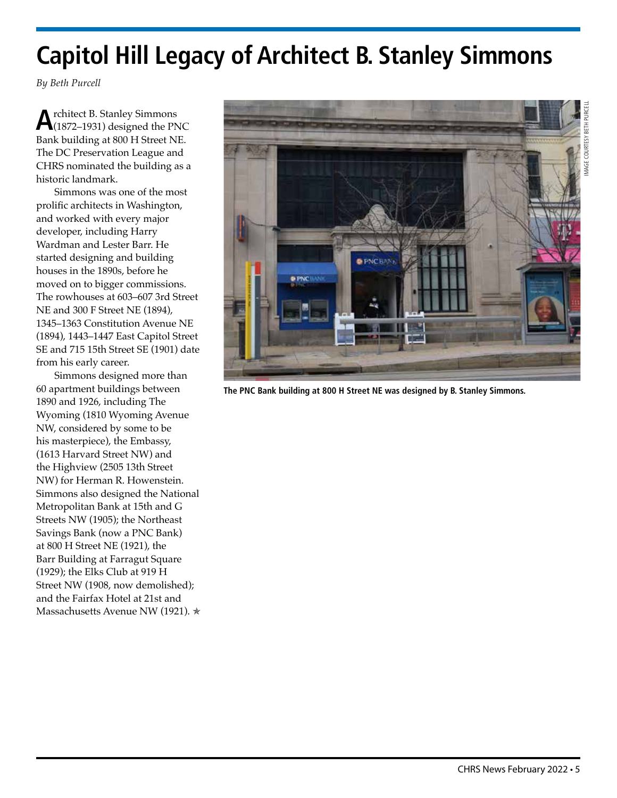# **Capitol Hill Legacy of Architect B. Stanley Simmons**

*By Beth Purcell* 

**A**rchitect B. Stanley Simmons (1872–1931) designed the PNC Bank building at 800 H Street NE. The DC Preservation League and CHRS nominated the building as a historic landmark.

Simmons was one of the most prolific architects in Washington, and worked with every major developer, including Harry Wardman and Lester Barr. He started designing and building houses in the 1890s, before he moved on to bigger commissions. The rowhouses at 603–607 3rd Street NE and 300 F Street NE (1894), 1345–1363 Constitution Avenue NE (1894), 1443–1447 East Capitol Street SE and 715 15th Street SE (1901) date from his early career.

Simmons designed more than 60 apartment buildings between 1890 and 1926, including The Wyoming (1810 Wyoming Avenue NW, considered by some to be his masterpiece), the Embassy, (1613 Harvard Street NW) and the Highview (2505 13th Street NW) for Herman R. Howenstein. Simmons also designed the National Metropolitan Bank at 15th and G Streets NW (1905); the Northeast Savings Bank (now a PNC Bank) at 800 H Street NE (1921), the Barr Building at Farragut Square (1929); the Elks Club at 919 H Street NW (1908, now demolished); and the Fairfax Hotel at 21st and Massachusetts Avenue NW (1921). \*



**The PNC Bank building at 800 H Street NE was designed by B. Stanley Simmons.**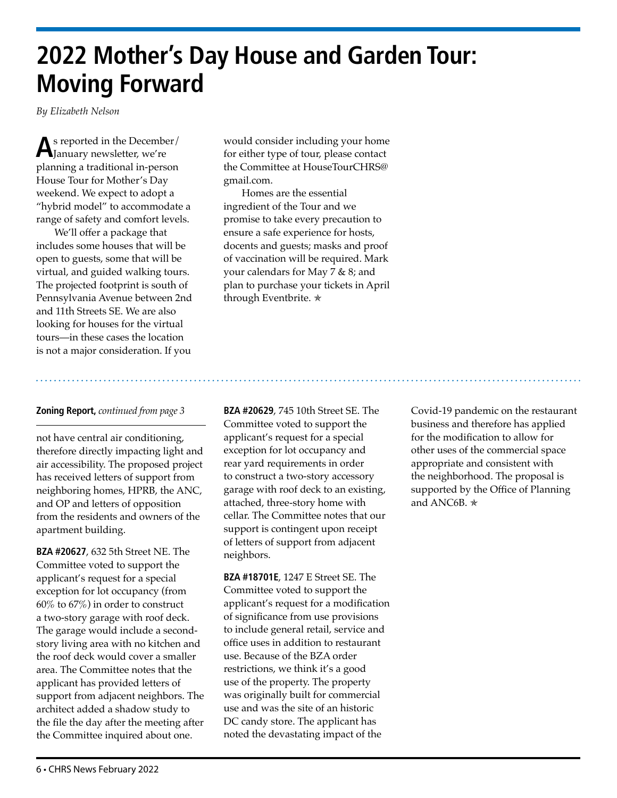# **2022 Mother's Day House and Garden Tour: Moving Forward**

*By Elizabeth Nelson*

**A**s reported in the December/ January newsletter, we're planning a traditional in-person House Tour for Mother's Day weekend. We expect to adopt a "hybrid model" to accommodate a range of safety and comfort levels.

We'll offer a package that includes some houses that will be open to guests, some that will be virtual, and guided walking tours. The projected footprint is south of Pennsylvania Avenue between 2nd and 11th Streets SE. We are also looking for houses for the virtual tours—in these cases the location is not a major consideration. If you

would consider including your home for either type of tour, please contact the Committee at [HouseTourCHRS@](mailto:HouseTourCHRS%40gmail.com?subject=) [gmail.com](mailto:HouseTourCHRS%40gmail.com?subject=).

Homes are the essential ingredient of the Tour and we promise to take every precaution to ensure a safe experience for hosts, docents and guests; masks and proof of vaccination will be required. Mark your calendars for May 7 & 8; and plan to purchase your tickets in April through Eventbrite. ✯

#### **Zoning Report,** *continued from page 3*

not have central air conditioning, therefore directly impacting light and air accessibility. The proposed project has received letters of support from neighboring homes, HPRB, the ANC, and OP and letters of opposition from the residents and owners of the apartment building.

**BZA #20627**, 632 5th Street NE. The Committee voted to support the applicant's request for a special exception for lot occupancy (from 60% to 67%) in order to construct a two-story garage with roof deck. The garage would include a secondstory living area with no kitchen and the roof deck would cover a smaller area. The Committee notes that the applicant has provided letters of support from adjacent neighbors. The architect added a shadow study to the file the day after the meeting after the Committee inquired about one.

**BZA #20629**, 745 10th Street SE. The Committee voted to support the applicant's request for a special exception for lot occupancy and rear yard requirements in order to construct a two-story accessory garage with roof deck to an existing, attached, three-story home with cellar. The Committee notes that our support is contingent upon receipt of letters of support from adjacent neighbors.

**BZA #18701E**, 1247 E Street SE. The Committee voted to support the applicant's request for a modification of significance from use provisions to include general retail, service and office uses in addition to restaurant use. Because of the BZA order restrictions, we think it's a good use of the property. The property was originally built for commercial use and was the site of an historic DC candy store. The applicant has noted the devastating impact of the

Covid-19 pandemic on the restaurant business and therefore has applied for the modification to allow for other uses of the commercial space appropriate and consistent with the neighborhood. The proposal is supported by the Office of Planning and ANC6B.  $\star$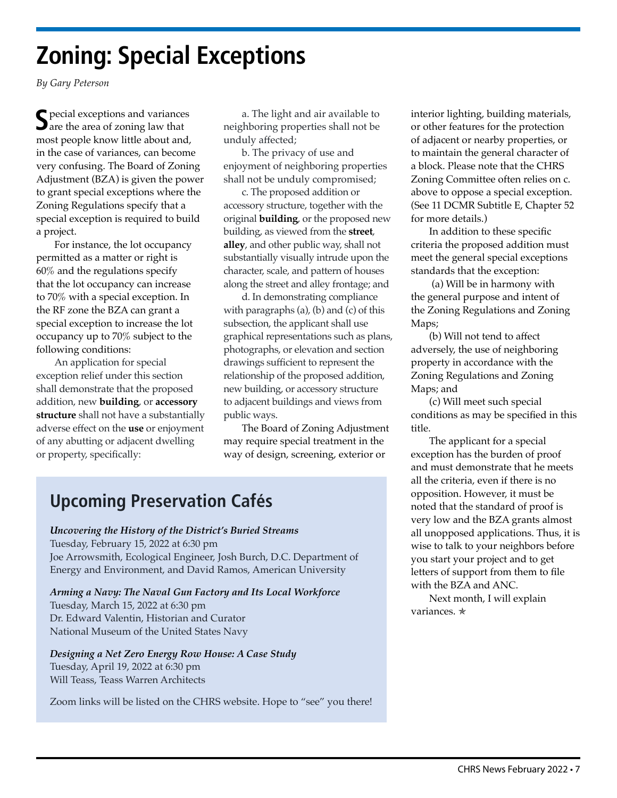# **Zoning: Special Exceptions**

*By Gary Peterson*

 $\bigcap$  pecial exceptions and variances are the area of zoning law that most people know little about and, in the case of variances, can become very confusing. The Board of Zoning Adjustment (BZA) is given the power to grant special exceptions where the Zoning Regulations specify that a special exception is required to build a project.

For instance, the lot occupancy permitted as a matter or right is 60% and the regulations specify that the lot occupancy can increase to 70% with a special exception. In the RF zone the BZA can grant a special exception to increase the lot occupancy up to 70% subject to the following conditions:

An application for special exception relief under this section shall demonstrate that the proposed addition, new **[building](https://online.encodeplus.com/regs/washington-dc/doc-view.aspx?pn=0&ajax=0&secid=304)**, or **[accessory](https://online.encodeplus.com/regs/washington-dc/doc-view.aspx?pn=0&ajax=0&secid=500)  [structure](https://online.encodeplus.com/regs/washington-dc/doc-view.aspx?pn=0&ajax=0&secid=495)** shall not have a substantially adverse effect on the **[use](https://online.encodeplus.com/regs/washington-dc/doc-view.aspx?pn=0&ajax=0&secid=499)** or enjoyment of any abutting or adjacent dwelling or property, specifically:

a. The light and air available to neighboring properties shall not be unduly affected;

b. The privacy of use and enjoyment of neighboring properties shall not be unduly compromised;

c. The proposed addition or accessory structure, together with the original **[building](https://online.encodeplus.com/regs/washington-dc/doc-view.aspx?pn=0&ajax=0&secid=304)**, or the proposed new building, as viewed from the **[street](https://online.encodeplus.com/regs/washington-dc/doc-view.aspx?pn=0&ajax=0&secid=490)**, **[alley](https://online.encodeplus.com/regs/washington-dc/doc-view.aspx?pn=0&ajax=0&secid=276)**, and other public way, shall not substantially visually intrude upon the character, scale, and pattern of houses along the street and alley frontage; and

d. In demonstrating compliance with paragraphs (a), (b) and (c) of this subsection, the applicant shall use graphical representations such as plans, photographs, or elevation and section drawings sufficient to represent the relationship of the proposed addition, new building, or accessory structure to adjacent buildings and views from public ways.

The Board of Zoning Adjustment may require special treatment in the way of design, screening, exterior or

## **Upcoming Preservation Cafés**

*Uncovering the History of the District's Buried Streams* Tuesday, February 15, 2022 at 6:30 pm Joe Arrowsmith, Ecological Engineer, Josh Burch, D.C. Department of Energy and Environment, and David Ramos, American University

*Arming a Navy: The Naval Gun Factory and Its Local Workforce* Tuesday, March 15, 2022 at 6:30 pm Dr. Edward Valentin, Historian and Curator National Museum of the United States Navy

*Designing a Net Zero Energy Row House: A Case Study* Tuesday, April 19, 2022 at 6:30 pm Will Teass, Teass Warren Architects

Zoom links will be listed on the [CHRS website](http://chrs.org). Hope to "see" you there!

interior lighting, building materials, or other features for the protection of adjacent or nearby properties, or to maintain the general character of a block. Please note that the CHRS Zoning Committee often relies on c. above to oppose a special exception. (See 11 DCMR Subtitle E, Chapter 52 for more details.)

In addition to these specific criteria the proposed addition must meet the general special exceptions standards that the exception:

 (a) Will be in harmony with the general purpose and intent of the Zoning Regulations and Zoning Maps;

(b) Will not tend to affect adversely, the use of neighboring property in accordance with the Zoning Regulations and Zoning Maps; and

(c) Will meet such special conditions as may be specified in this title.

The applicant for a special exception has the burden of proof and must demonstrate that he meets all the criteria, even if there is no opposition. However, it must be noted that the standard of proof is very low and the BZA grants almost all unopposed applications. Thus, it is wise to talk to your neighbors before you start your project and to get letters of support from them to file with the BZA and ANC.

Next month, I will explain variances. ✯